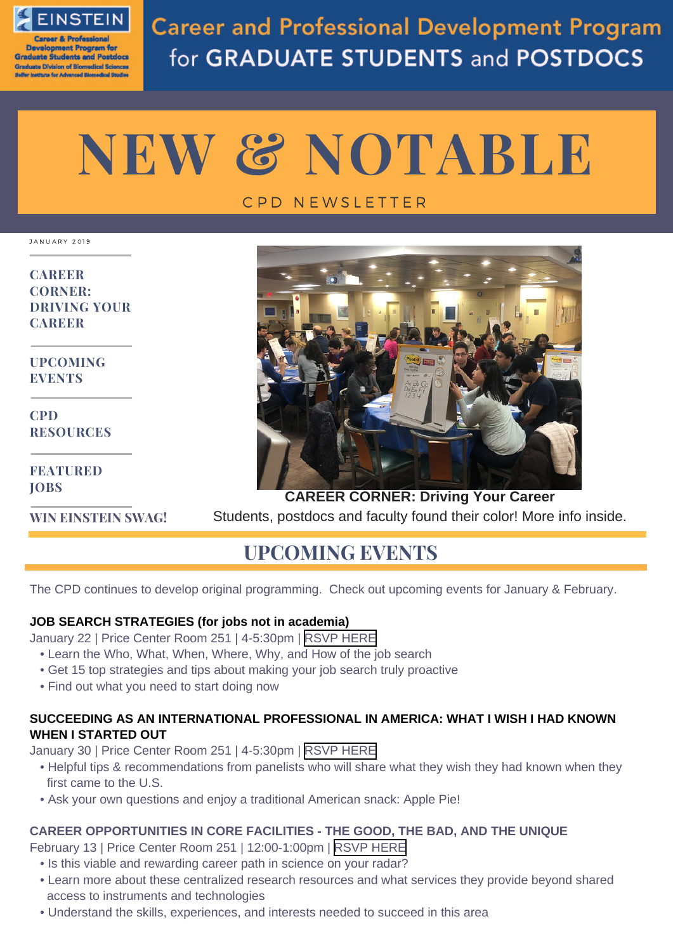

velopment Program fo **Graduate Students and Postdocs** ate Division of Biomedical Sciences thuta for Advenced Blomadical S

**Career and Professional Development Program** for GRADUATE STUDENTS and POSTDOCS

# **NEW & NOTABLE**

### C P D N E W S L E T T E R

JANUARY 2019

**CAREER [CORNER:](#page-1-0) DRIVING YOUR CAREER**

**UPCOMING EVENTS**

**CPD [RESOURCES](#page-1-0)**

**[FEATURED](#page-2-0) JOBS**

**WIN [EINSTEIN](#page-2-0) SWAG!**



**CAREER CORNER: Driving Your Career** Students, postdocs and faculty found their color! More info inside.

## **UPCOMING EVENTS**

The CPD continues to develop original programming. Check out upcoming events for January & February.

#### **JOB SEARCH STRATEGIES (for jobs not in academia)**

January 22 | Price Center Room 251 | 4-5:30pm | RSVP [HERE](https://www.eventbrite.com/e/job-search-strategies-for-jobs-not-in-academia-tickets-54003036536)

- Learn the Who, What, When, Where, Why, and How of the job search
- Get 15 top strategies and tips about making your job search truly proactive
- Find out what you need to start doing now

#### **SUCCEEDING AS AN INTERNATIONAL PROFESSIONAL IN AMERICA: WHAT I WISH I HAD KNOWN WHEN I STARTED OUT**

January 30 | Price Center Room 251 | 4-5:30pm | RSVP [HERE](https://www.eventbrite.com/e/succeeding-as-an-international-professional-in-america-what-i-wish-i-had-known-when-i-started-out-tickets-54167136363)

- Helpful tips & recommendations from panelists who will share what they wish they had known when they first came to the U.S.
- Ask your own questions and enjoy a traditional American snack: Apple Pie!

#### **CAREER OPPORTUNITIES IN CORE FACILITIES - THE GOOD, THE BAD, AND THE UNIQUE**

February 13 | Price Center Room 251 | 12:00-1:00pm | RSVP [HERE](https://www.eventbrite.com/e/career-opportunities-in-core-facilities-the-good-the-bad-and-the-unique-tickets-54414138152)

- Is this viable and rewarding career path in science on your radar?
- Learn more about these centralized research resources and what services they provide beyond shared access to instruments and technologies
- Understand the skills, experiences, and interests needed to succeed in this area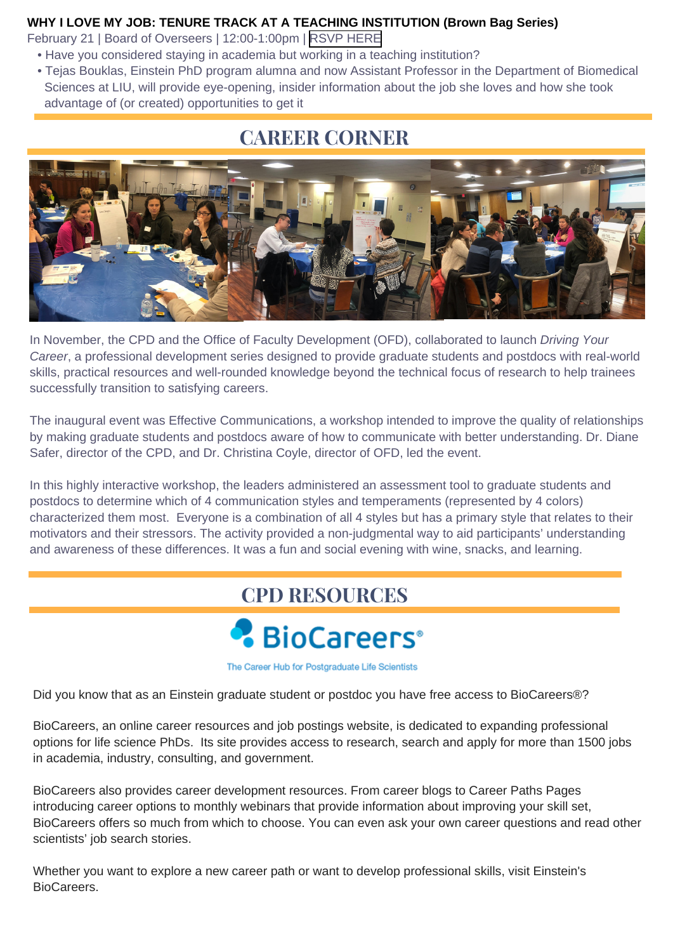#### <span id="page-1-0"></span>**WHY I LOVE MY JOB: TENURE TRACK AT A TEACHING INSTITUTION (Brown Bag Series)**

February 21 | Board of Overseers | 12:00-1:00pm | [RSVP HERE](https://www.eventbrite.com/e/why-i-love-my-job-tenure-track-at-a-teaching-institution-tickets-54149275942)

- Have you considered staying in academia but working in a teaching institution?
- Tejas Bouklas, Einstein PhD program alumna and now Assistant Professor in the Department of Biomedical Sciences at LIU, will provide eye-opening, insider information about the job she loves and how she took advantage of (or created) opportunities to get it

## **CAREER CORNER**



In November, the CPD and the Office of Faculty Development (OFD), collaborated to launch *Driving Your Career*, a professional development series designed to provide graduate students and postdocs with real-world skills, practical resources and well-rounded knowledge beyond the technical focus of research to help trainees successfully transition to satisfying careers.

The inaugural event was Effective Communications, a workshop intended to improve the quality of relationships by making graduate students and postdocs aware of how to communicate with better understanding. Dr. Diane Safer, director of the CPD, and Dr. Christina Coyle, director of OFD, led the event.

In this highly interactive workshop, the leaders administered an assessment tool to graduate students and postdocs to determine which of 4 communication styles and temperaments (represented by 4 colors) characterized them most. Everyone is a combination of all 4 styles but has a primary style that relates to their motivators and their stressors. The activity provided a non-judgmental way to aid participants' understanding and awareness of these differences. It was a fun and social evening with wine, snacks, and learning.

## **[CPD RESOURCES](https://einstein.biocareers.com/)**



The Career Hub for Postgraduate Life Scientists

Did you know that as an Einstein graduate student or postdoc you have free access to BioCareers®?

BioCareers, an online career resources and job postings website, is dedicated to expanding professional options for life science PhDs. Its site provides access to research, search and apply for more than 1500 jobs in academia, industry, consulting, and government.

BioCareers also provides career development resources. From career blogs to Career Paths Pages introducing career options to monthly webinars that provide information about improving your skill set, BioCareers offers so much from which to choose. You can even ask your own career questions and read other scientists' job search stories.

Whether you want to explore a new career path or want to develop professional skills, visit Einstein's BioCareers.